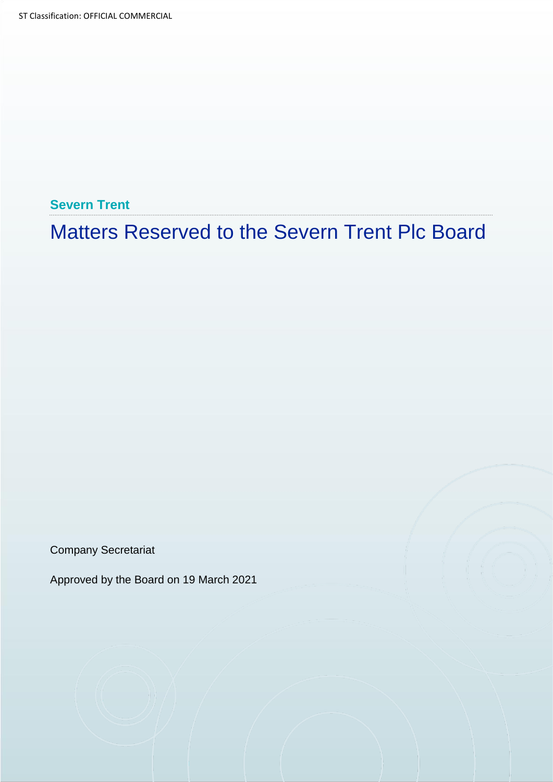**Severn Trent**

Matters Reserved to the Severn Trent Plc Board

Company Secretariat

Approved by the Board on 19 March 2021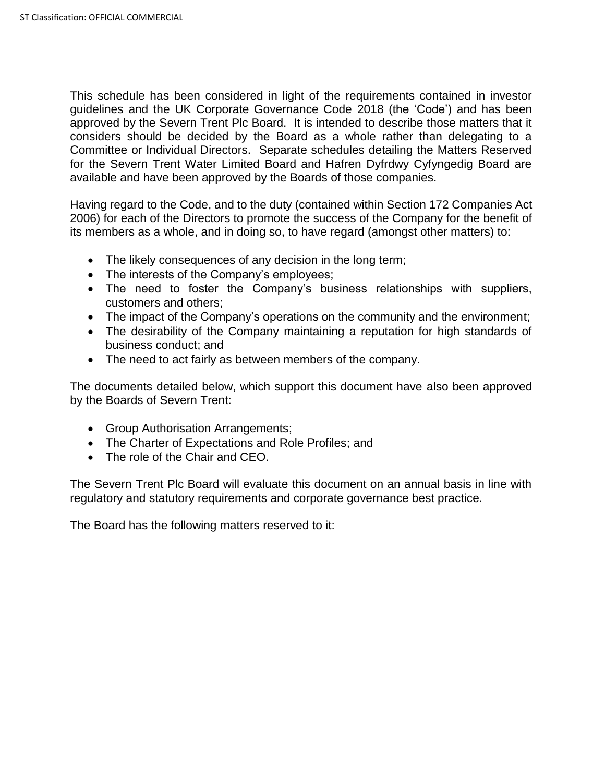This schedule has been considered in light of the requirements contained in investor guidelines and the UK Corporate Governance Code 2018 (the 'Code') and has been approved by the Severn Trent Plc Board. It is intended to describe those matters that it considers should be decided by the Board as a whole rather than delegating to a Committee or Individual Directors. Separate schedules detailing the Matters Reserved for the Severn Trent Water Limited Board and Hafren Dyfrdwy Cyfyngedig Board are available and have been approved by the Boards of those companies.

Having regard to the Code, and to the duty (contained within Section 172 Companies Act 2006) for each of the Directors to promote the success of the Company for the benefit of its members as a whole, and in doing so, to have regard (amongst other matters) to:

- The likely consequences of any decision in the long term;
- The interests of the Company's employees;
- The need to foster the Company's business relationships with suppliers, customers and others;
- The impact of the Company's operations on the community and the environment;
- The desirability of the Company maintaining a reputation for high standards of business conduct; and
- The need to act fairly as between members of the company.

The documents detailed below, which support this document have also been approved by the Boards of Severn Trent:

- Group Authorisation Arrangements;
- The Charter of Expectations and Role Profiles; and
- The role of the Chair and CEO.

The Severn Trent Plc Board will evaluate this document on an annual basis in line with regulatory and statutory requirements and corporate governance best practice.

The Board has the following matters reserved to it: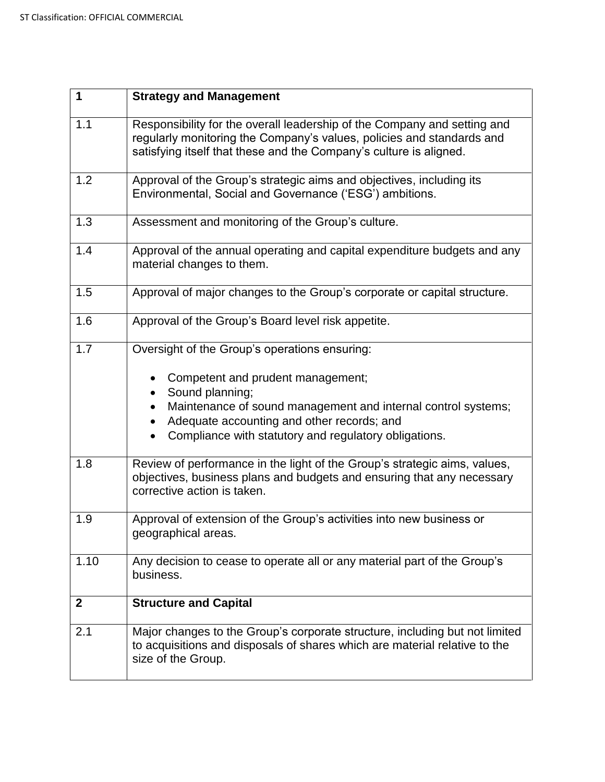| $\mathbf 1$  | <b>Strategy and Management</b>                                                                                                                                                                                                                                                |
|--------------|-------------------------------------------------------------------------------------------------------------------------------------------------------------------------------------------------------------------------------------------------------------------------------|
| 1.1          | Responsibility for the overall leadership of the Company and setting and<br>regularly monitoring the Company's values, policies and standards and<br>satisfying itself that these and the Company's culture is aligned.                                                       |
| 1.2          | Approval of the Group's strategic aims and objectives, including its<br>Environmental, Social and Governance ('ESG') ambitions.                                                                                                                                               |
| 1.3          | Assessment and monitoring of the Group's culture.                                                                                                                                                                                                                             |
| 1.4          | Approval of the annual operating and capital expenditure budgets and any<br>material changes to them.                                                                                                                                                                         |
| 1.5          | Approval of major changes to the Group's corporate or capital structure.                                                                                                                                                                                                      |
| 1.6          | Approval of the Group's Board level risk appetite.                                                                                                                                                                                                                            |
| 1.7          | Oversight of the Group's operations ensuring:<br>Competent and prudent management;<br>Sound planning;<br>Maintenance of sound management and internal control systems;<br>Adequate accounting and other records; and<br>Compliance with statutory and regulatory obligations. |
| 1.8          | Review of performance in the light of the Group's strategic aims, values,<br>objectives, business plans and budgets and ensuring that any necessary<br>corrective action is taken.                                                                                            |
| 1.9          | Approval of extension of the Group's activities into new business or<br>geographical areas.                                                                                                                                                                                   |
| 1.10         | Any decision to cease to operate all or any material part of the Group's<br>business.                                                                                                                                                                                         |
| $\mathbf{2}$ | <b>Structure and Capital</b>                                                                                                                                                                                                                                                  |
| 2.1          | Major changes to the Group's corporate structure, including but not limited<br>to acquisitions and disposals of shares which are material relative to the<br>size of the Group.                                                                                               |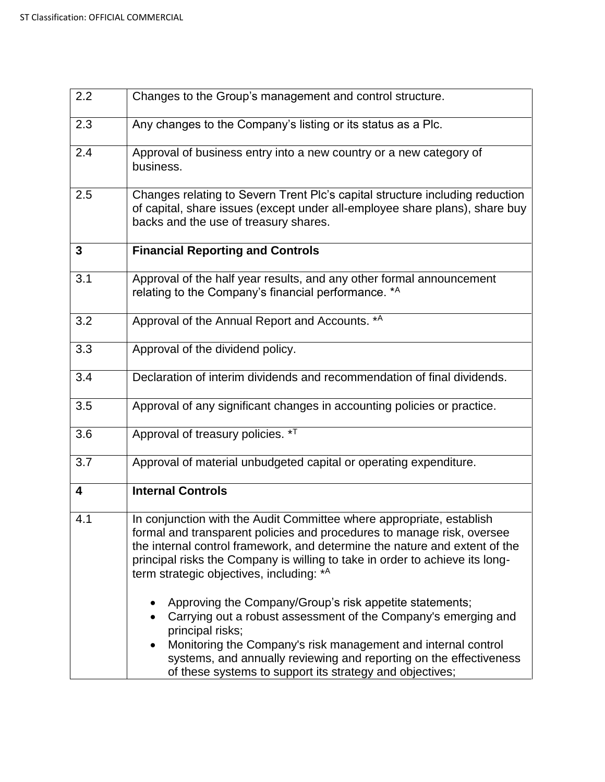| 2.2                     | Changes to the Group's management and control structure.                                                                                                                                                                                                                                                                                                 |
|-------------------------|----------------------------------------------------------------------------------------------------------------------------------------------------------------------------------------------------------------------------------------------------------------------------------------------------------------------------------------------------------|
| 2.3                     | Any changes to the Company's listing or its status as a Plc.                                                                                                                                                                                                                                                                                             |
| 2.4                     | Approval of business entry into a new country or a new category of<br>business.                                                                                                                                                                                                                                                                          |
| 2.5                     | Changes relating to Severn Trent Plc's capital structure including reduction<br>of capital, share issues (except under all-employee share plans), share buy<br>backs and the use of treasury shares.                                                                                                                                                     |
| 3                       | <b>Financial Reporting and Controls</b>                                                                                                                                                                                                                                                                                                                  |
| 3.1                     | Approval of the half year results, and any other formal announcement<br>relating to the Company's financial performance. *A                                                                                                                                                                                                                              |
| 3.2                     | Approval of the Annual Report and Accounts. *A                                                                                                                                                                                                                                                                                                           |
| 3.3                     | Approval of the dividend policy.                                                                                                                                                                                                                                                                                                                         |
| 3.4                     | Declaration of interim dividends and recommendation of final dividends.                                                                                                                                                                                                                                                                                  |
| 3.5                     | Approval of any significant changes in accounting policies or practice.                                                                                                                                                                                                                                                                                  |
| 3.6                     | Approval of treasury policies. * <sup>T</sup>                                                                                                                                                                                                                                                                                                            |
| 3.7                     | Approval of material unbudgeted capital or operating expenditure.                                                                                                                                                                                                                                                                                        |
| $\overline{\mathbf{4}}$ | <b>Internal Controls</b>                                                                                                                                                                                                                                                                                                                                 |
| 4.1                     | In conjunction with the Audit Committee where appropriate, establish<br>formal and transparent policies and procedures to manage risk, oversee<br>the internal control framework, and determine the nature and extent of the<br>principal risks the Company is willing to take in order to achieve its long-<br>term strategic objectives, including: *A |
|                         | Approving the Company/Group's risk appetite statements;<br>Carrying out a robust assessment of the Company's emerging and<br>principal risks;<br>Monitoring the Company's risk management and internal control<br>systems, and annually reviewing and reporting on the effectiveness<br>of these systems to support its strategy and objectives;         |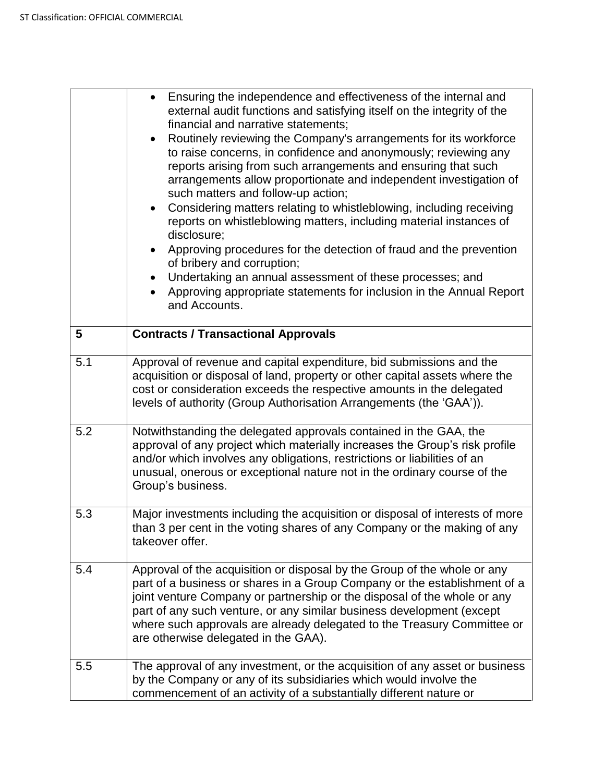|     | Ensuring the independence and effectiveness of the internal and<br>external audit functions and satisfying itself on the integrity of the<br>financial and narrative statements;<br>Routinely reviewing the Company's arrangements for its workforce<br>$\bullet$<br>to raise concerns, in confidence and anonymously; reviewing any<br>reports arising from such arrangements and ensuring that such<br>arrangements allow proportionate and independent investigation of<br>such matters and follow-up action;<br>Considering matters relating to whistleblowing, including receiving<br>reports on whistleblowing matters, including material instances of<br>disclosure;<br>Approving procedures for the detection of fraud and the prevention<br>$\bullet$<br>of bribery and corruption;<br>Undertaking an annual assessment of these processes; and<br>Approving appropriate statements for inclusion in the Annual Report<br>and Accounts. |
|-----|---------------------------------------------------------------------------------------------------------------------------------------------------------------------------------------------------------------------------------------------------------------------------------------------------------------------------------------------------------------------------------------------------------------------------------------------------------------------------------------------------------------------------------------------------------------------------------------------------------------------------------------------------------------------------------------------------------------------------------------------------------------------------------------------------------------------------------------------------------------------------------------------------------------------------------------------------|
| 5   | <b>Contracts / Transactional Approvals</b>                                                                                                                                                                                                                                                                                                                                                                                                                                                                                                                                                                                                                                                                                                                                                                                                                                                                                                        |
| 5.1 | Approval of revenue and capital expenditure, bid submissions and the<br>acquisition or disposal of land, property or other capital assets where the<br>cost or consideration exceeds the respective amounts in the delegated<br>levels of authority (Group Authorisation Arrangements (the 'GAA')).                                                                                                                                                                                                                                                                                                                                                                                                                                                                                                                                                                                                                                               |
| 5.2 | Notwithstanding the delegated approvals contained in the GAA, the<br>approval of any project which materially increases the Group's risk profile<br>and/or which involves any obligations, restrictions or liabilities of an<br>unusual, onerous or exceptional nature not in the ordinary course of the<br>Group's business.                                                                                                                                                                                                                                                                                                                                                                                                                                                                                                                                                                                                                     |
| 5.3 | Major investments including the acquisition or disposal of interests of more<br>than 3 per cent in the voting shares of any Company or the making of any<br>takeover offer.                                                                                                                                                                                                                                                                                                                                                                                                                                                                                                                                                                                                                                                                                                                                                                       |
| 5.4 | Approval of the acquisition or disposal by the Group of the whole or any<br>part of a business or shares in a Group Company or the establishment of a<br>joint venture Company or partnership or the disposal of the whole or any<br>part of any such venture, or any similar business development (except<br>where such approvals are already delegated to the Treasury Committee or<br>are otherwise delegated in the GAA).                                                                                                                                                                                                                                                                                                                                                                                                                                                                                                                     |
| 5.5 | The approval of any investment, or the acquisition of any asset or business<br>by the Company or any of its subsidiaries which would involve the<br>commencement of an activity of a substantially different nature or                                                                                                                                                                                                                                                                                                                                                                                                                                                                                                                                                                                                                                                                                                                            |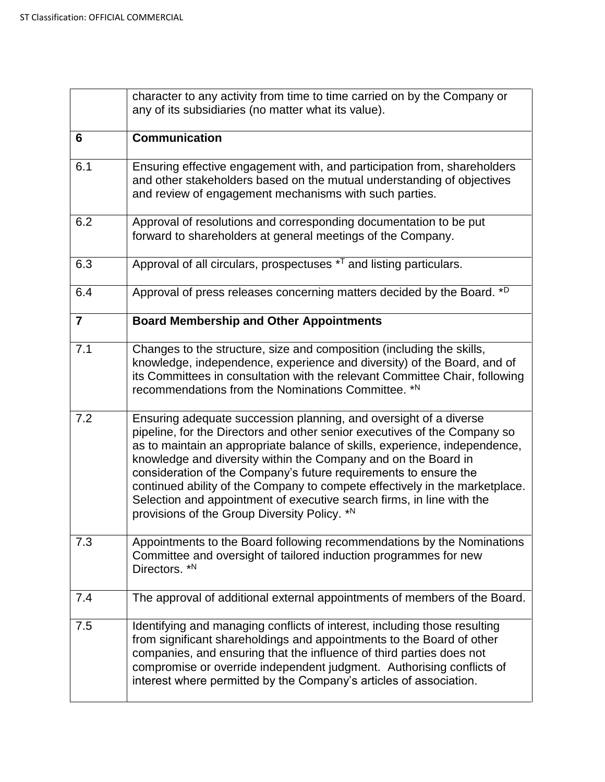|                | character to any activity from time to time carried on by the Company or<br>any of its subsidiaries (no matter what its value).                                                                                                                                                                                                                                                                                                                                                                                                                                            |
|----------------|----------------------------------------------------------------------------------------------------------------------------------------------------------------------------------------------------------------------------------------------------------------------------------------------------------------------------------------------------------------------------------------------------------------------------------------------------------------------------------------------------------------------------------------------------------------------------|
| 6              | <b>Communication</b>                                                                                                                                                                                                                                                                                                                                                                                                                                                                                                                                                       |
| 6.1            | Ensuring effective engagement with, and participation from, shareholders<br>and other stakeholders based on the mutual understanding of objectives<br>and review of engagement mechanisms with such parties.                                                                                                                                                                                                                                                                                                                                                               |
| 6.2            | Approval of resolutions and corresponding documentation to be put<br>forward to shareholders at general meetings of the Company.                                                                                                                                                                                                                                                                                                                                                                                                                                           |
| 6.3            | Approval of all circulars, prospectuses * <sup>T</sup> and listing particulars.                                                                                                                                                                                                                                                                                                                                                                                                                                                                                            |
| 6.4            | Approval of press releases concerning matters decided by the Board. *D                                                                                                                                                                                                                                                                                                                                                                                                                                                                                                     |
| $\overline{7}$ | <b>Board Membership and Other Appointments</b>                                                                                                                                                                                                                                                                                                                                                                                                                                                                                                                             |
| 7.1            | Changes to the structure, size and composition (including the skills,<br>knowledge, independence, experience and diversity) of the Board, and of<br>its Committees in consultation with the relevant Committee Chair, following<br>recommendations from the Nominations Committee. *N                                                                                                                                                                                                                                                                                      |
| 7.2            | Ensuring adequate succession planning, and oversight of a diverse<br>pipeline, for the Directors and other senior executives of the Company so<br>as to maintain an appropriate balance of skills, experience, independence,<br>knowledge and diversity within the Company and on the Board in<br>consideration of the Company's future requirements to ensure the<br>continued ability of the Company to compete effectively in the marketplace.<br>Selection and appointment of executive search firms, in line with the<br>provisions of the Group Diversity Policy. *N |
| 7.3            | Appointments to the Board following recommendations by the Nominations<br>Committee and oversight of tailored induction programmes for new<br>Directors. *N                                                                                                                                                                                                                                                                                                                                                                                                                |
| 7.4            | The approval of additional external appointments of members of the Board.                                                                                                                                                                                                                                                                                                                                                                                                                                                                                                  |
| 7.5            | Identifying and managing conflicts of interest, including those resulting<br>from significant shareholdings and appointments to the Board of other<br>companies, and ensuring that the influence of third parties does not<br>compromise or override independent judgment. Authorising conflicts of<br>interest where permitted by the Company's articles of association.                                                                                                                                                                                                  |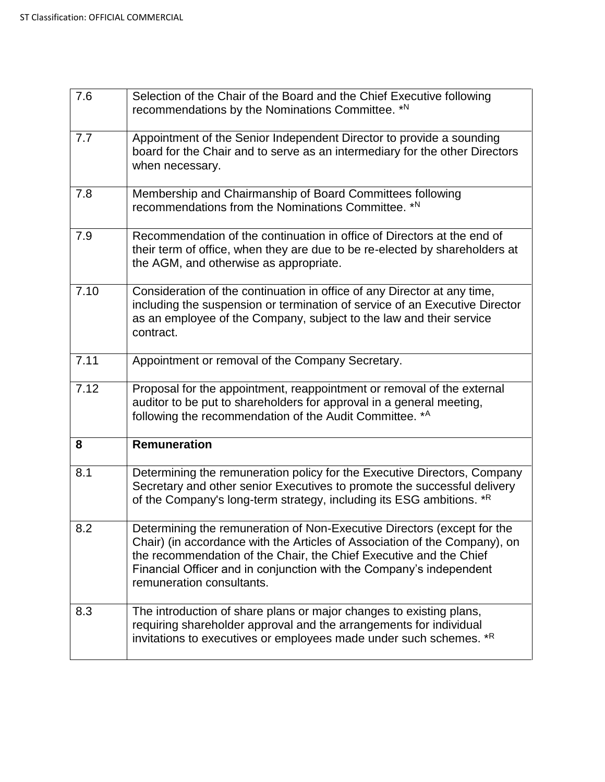| 7.6  | Selection of the Chair of the Board and the Chief Executive following<br>recommendations by the Nominations Committee. *N                                                                                                                                                                                                       |
|------|---------------------------------------------------------------------------------------------------------------------------------------------------------------------------------------------------------------------------------------------------------------------------------------------------------------------------------|
| 7.7  | Appointment of the Senior Independent Director to provide a sounding<br>board for the Chair and to serve as an intermediary for the other Directors<br>when necessary.                                                                                                                                                          |
| 7.8  | Membership and Chairmanship of Board Committees following<br>recommendations from the Nominations Committee. *N                                                                                                                                                                                                                 |
| 7.9  | Recommendation of the continuation in office of Directors at the end of<br>their term of office, when they are due to be re-elected by shareholders at<br>the AGM, and otherwise as appropriate.                                                                                                                                |
| 7.10 | Consideration of the continuation in office of any Director at any time,<br>including the suspension or termination of service of an Executive Director<br>as an employee of the Company, subject to the law and their service<br>contract.                                                                                     |
| 7.11 | Appointment or removal of the Company Secretary.                                                                                                                                                                                                                                                                                |
| 7.12 | Proposal for the appointment, reappointment or removal of the external<br>auditor to be put to shareholders for approval in a general meeting,<br>following the recommendation of the Audit Committee. *A                                                                                                                       |
| 8    | <b>Remuneration</b>                                                                                                                                                                                                                                                                                                             |
| 8.1  | Determining the remuneration policy for the Executive Directors, Company<br>Secretary and other senior Executives to promote the successful delivery<br>of the Company's long-term strategy, including its ESG ambitions. *R                                                                                                    |
| 8.2  | Determining the remuneration of Non-Executive Directors (except for the<br>Chair) (in accordance with the Articles of Association of the Company), on<br>the recommendation of the Chair, the Chief Executive and the Chief<br>Financial Officer and in conjunction with the Company's independent<br>remuneration consultants. |
| 8.3  | The introduction of share plans or major changes to existing plans,<br>requiring shareholder approval and the arrangements for individual<br>invitations to executives or employees made under such schemes. *R                                                                                                                 |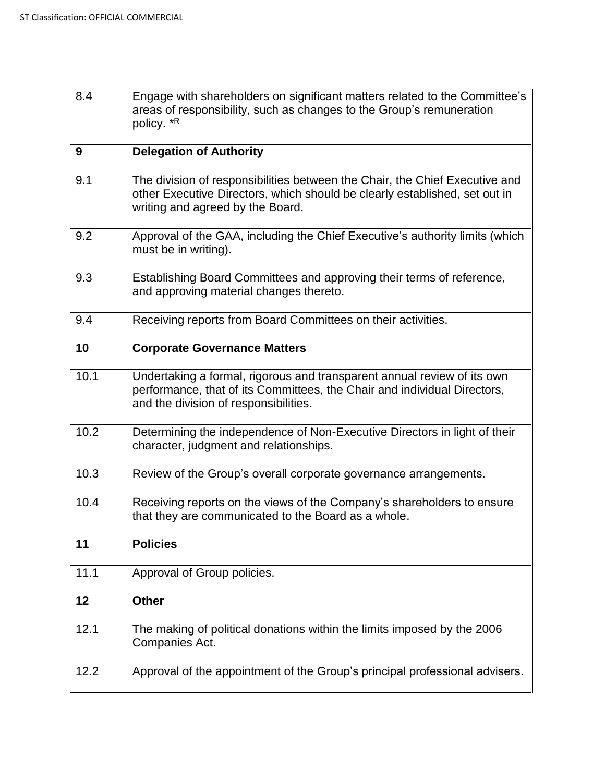| 8.4  | Engage with shareholders on significant matters related to the Committee's<br>areas of responsibility, such as changes to the Group's remuneration<br>policy. *R                              |
|------|-----------------------------------------------------------------------------------------------------------------------------------------------------------------------------------------------|
| 9    | <b>Delegation of Authority</b>                                                                                                                                                                |
| 9.1  | The division of responsibilities between the Chair, the Chief Executive and<br>other Executive Directors, which should be clearly established, set out in<br>writing and agreed by the Board. |
| 9.2  | Approval of the GAA, including the Chief Executive's authority limits (which<br>must be in writing).                                                                                          |
| 9.3  | Establishing Board Committees and approving their terms of reference,<br>and approving material changes thereto.                                                                              |
| 9.4  | Receiving reports from Board Committees on their activities.                                                                                                                                  |
| 10   | <b>Corporate Governance Matters</b>                                                                                                                                                           |
| 10.1 | Undertaking a formal, rigorous and transparent annual review of its own<br>performance, that of its Committees, the Chair and individual Directors,<br>and the division of responsibilities.  |
| 10.2 | Determining the independence of Non-Executive Directors in light of their<br>character, judgment and relationships.                                                                           |
| 10.3 | Review of the Group's overall corporate governance arrangements.                                                                                                                              |
| 10.4 | Receiving reports on the views of the Company's shareholders to ensure<br>that they are communicated to the Board as a whole.                                                                 |
| 11   | <b>Policies</b>                                                                                                                                                                               |
| 11.1 | Approval of Group policies.                                                                                                                                                                   |
| 12   | <b>Other</b>                                                                                                                                                                                  |
| 12.1 | The making of political donations within the limits imposed by the 2006<br>Companies Act.                                                                                                     |
| 12.2 | Approval of the appointment of the Group's principal professional advisers.                                                                                                                   |